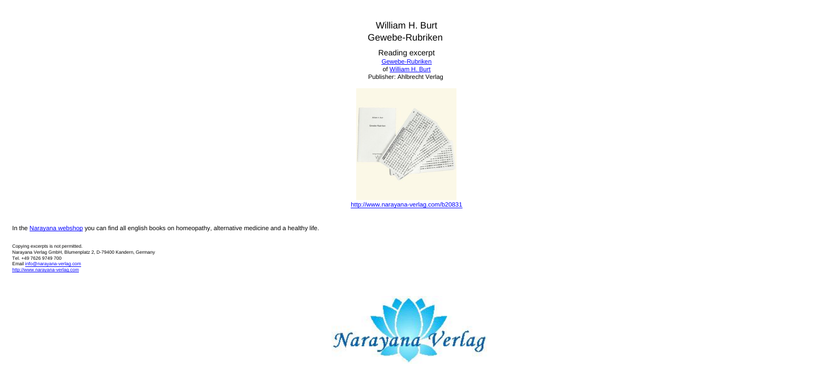William H. Burt Gewebe-Rubriken

Reading excerpt [Gewebe-Rubriken](http://www.narayana-verlag.com/Gewebe-Rubriken-William-H-Burt/b20831/partner/leseprobe) of [William H. Burt](http://www.narayana-verlag.com/William-H-Burt/a106/partner/leseprobe) Publisher: Ahlbrecht Verlag



In the [Narayana webshop](http://www.narayana-verlag.com/partner/leseprobe) you can find all english books on homeopathy, alternative medicine and a healthy life.

Copying excerpts is not permitted. Narayana Verlag GmbH, Blumenplatz 2, D-79400 Kandern, Germany Tel. +49 7626 9749 700 Email [info@narayana-verlag.com](mailto:info@narayana-verlag.com) [http://www.narayana-verlag.com](http://www.narayana-verlag.com/partner/leseprobe)

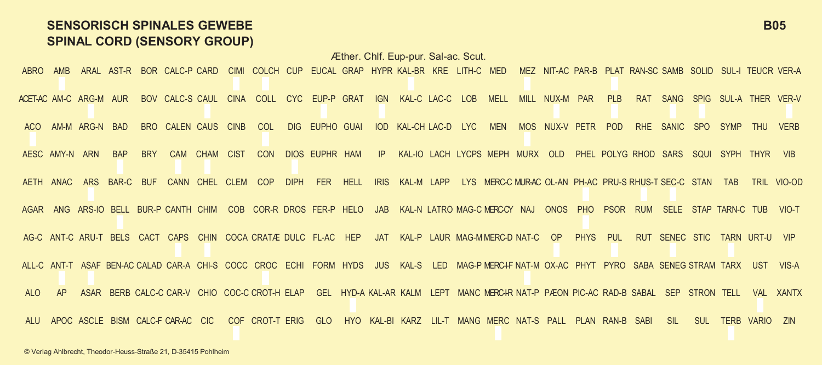## **SENSORISCH SPINALES GEWEBE B05 SPINAL CORD (SENSORY GROUP)**

Æther. Chlf. Eup-pur. Sal-ac. Scut. ABRO AMB ARAL AST-R BOR CALC-P CARD CIMI COLCH CUP EUCAL GRAP HYPR KAL-BR KRE LITH-C MED MEZ NIT-AC PAR-B PLAT RAN-SC SAMB SOLID SUL-I TEUCR VER-A ACET-AC AM-C ARG-M AUR BOV CALC-S CAUL CINA COLL CYC EUP-P GRAT IGN KAL-C LAC-C LOB MELL MILL NUX-M PAR PLB RAT SANG SPIG SUL-A THER VER-V AM-M ARG-N BAD BRO CALEN CAUS CINB COL DIG EUPHO GUAL IOD KAL-CHILAC-D LYC. MEN MOS NUX-V PETR POD RHE SANIC SPO SYMP THU VERB AESC AMY-N ARN BAP BRY CAM CHAM CIST CON DIOS EUPHR HAM IP KAL-IO LACH LYCPS MEPH MURX OLD PHEL POLYG RHOD SARS SQUI SYPH THYR VIB AETH ANAC ARS BAR-C BUF CANN CHEL CLEM COP DIPH FER HELL IRIS KAL-M LAPP LYS MERC-C MUR-AC OL-AN PH-AC PRU-S RHUS-T SEC-C STAN TAB TRIL VIO-OD AGAR ANG ARS-IO BELL BUR-P CANTH CHIM COB COR-R DROS FER-P HELO JAB KAL-N LATRO MAG-C MERC-CY NAJ ONOS PHO PSOR RUM SELE STAP TARN-C TUB VIO-T AG-C ANT-C ARU-T BELS CACT CAPS CHIN COCA CRATÆ DULC FL-AC HEP JAT KAL-P LAUR MAG-M MERC-D NAT-C OP PHYS PUL RUT SENEC STIC TARN URT-U VIP ALL-C ANT-T ASAF BEN-AC CALAD CAR-A CHI-S COCC CROC ECHI FORM HYDS JUS KAL-S LED MAG-P MERC-I-F NAT-M OX-AC PHYT PYRO SABA SENEG STRAM TARX UST VIS-A ALO AP ASAR BERBICALC-C CAR-V CHIO COC-C CROT-HIELAP GEL HYD-A KAL-AR KALM LEPT MANC MERC-IR NAT-P PÆON PIC-AC RAD-B SABAL SEP STRON TELL VAL XANTX ALU APOC ASCLE BISM CALC-F CAR-AC CIC COF CROT-T ERIG GLO HYO KAL-BI KARZ LIL-T MANG MERC NAT-S PALL PLAN RAN-B SABI SIL SUL TERB VARIO ZIN